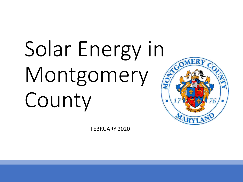# Solar Energy in Montgomery County

FEBRUARY 2020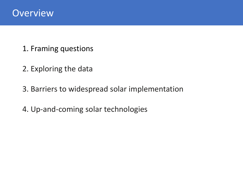

- 1. Framing questions
- 2. Exploring the data
- 3. Barriers to widespread solar implementation
- 4. Up-and-coming solar technologies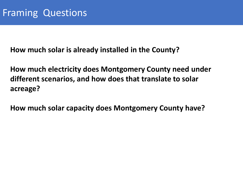**How much solar is already installed in the County?**

**How much electricity does Montgomery County need under different scenarios, and how does that translate to solar acreage?**

**How much solar capacity does Montgomery County have?**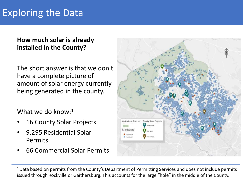#### **How much solar is already installed in the County?**

The short answer is that we don't have a complete picture of amount of solar energy currently being generated in the county.

What we do know: $1$ 

- 16 County Solar Projects
- 9,295 Residential Solar Permits
- 66 Commercial Solar Permits



<sup>1</sup> Data based on permits from the County's Department of Permitting Services and does not include permits issued through Rockville or Gaithersburg. This accounts for the large "hole" in the middle of the County.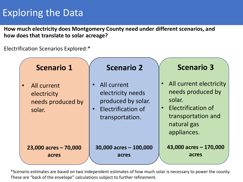**How much electricity does Montgomery County need under different scenarios, and how does that translate to solar acreage?**

Electrification Scenarios Explored:\*



\*Scenario estimates are based on two independent estimates of how much solar is necessary to power the county. These are "back of the envelope" calculations subject to further refinement.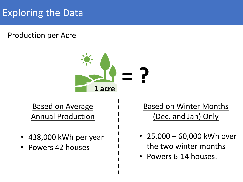Production per Acre



Based on Average Annual Production

- 438,000 kWh per year
- Powers 42 houses

Based on Winter Months (Dec. and Jan) Only

- 25,000 60,000 kWh over the two winter months
- Powers 6-14 houses.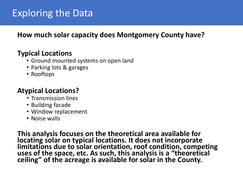#### **How much solar capacity does Montgomery County have?**

#### **Typical Locations**

- Ground mounted systems on open land
- Parking lots & garages
- Rooftops

#### **Atypical Locations?**

- Transmission lines
- Building facade
- Window replacement
- Noise walls

**This analysis focuses on the theoretical area available for locating solar on typical locations. It does not incorporate limitations due to solar orientation, roof condition, competing uses of the space, etc. As such, this analysis is a "theoretical ceiling" of the acreage is available for solar in the County.**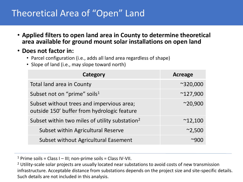## Theoretical Area of "Open" Land

- **Applied filters to open land area in County to determine theoretical area available for ground mount solar installations on open land**
- **Does not factor in:**
	- Parcel configuration (i.e., adds all land area regardless of shape)
	- Slope of land (i.e., may slope toward north)

| Category                                                                                 | Acreage           |
|------------------------------------------------------------------------------------------|-------------------|
| Total land area in County                                                                | $^{\sim}320,000$  |
| Subset not on "prime" soils <sup>1</sup>                                                 | $^{\sim}$ 127,900 |
| Subset without trees and impervious area;<br>outside 150' buffer from hydrologic feature | $^{\sim}20,900$   |
| Subset within two miles of utility substation <sup>2</sup>                               | $^{\sim}$ 12,100  |
| Subset within Agricultural Reserve                                                       | $^{\sim}$ 2,500   |
| Subset without Agricultural Easement                                                     |                   |

<sup>1</sup> Prime soils = Class I – III; non-prime soils = Class IV-VII.

<sup>2</sup> Utility-scale solar projects are usually located near substations to avoid costs of new transmission infrastructure. Acceptable distance from substations depends on the project size and site-specific details. Such details are not included in this analysis.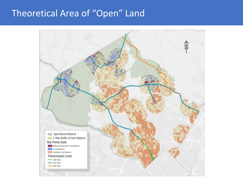## Theoretical Area of "Open" Land

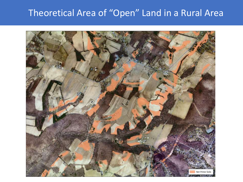## Theoretical Area of "Open" Land in a Rural Area

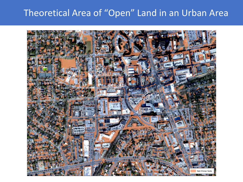## Theoretical Area of "Open" Land in an Urban Area

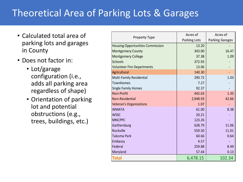# Theoretical Area of Parking Lots & Garages

- Calculated total area of parking lots and garages in County
- Does not factor in:
	- Lot/garage configuration (i.e., adds all parking area regardless of shape)
	- Orientation of parking lot and potential obstructions (e.g., trees, buildings, etc.)

|                                         | <b>Acres of</b>     | <b>Acres of</b>        |
|-----------------------------------------|---------------------|------------------------|
| <b>Property Type</b>                    | <b>Parking Lots</b> | <b>Parking Garages</b> |
| <b>Housing Opportunities Commission</b> | 13.20               |                        |
| <b>Montgomery County</b>                | 343.00              | 16.47                  |
| <b>Montgomery College</b>               | 37.38               | 1.09                   |
| <b>Schools</b>                          | 372.93              |                        |
| <b>Volunteer Fire Departments</b>       | 13.06               |                        |
| Agricultural                            | 140.30              |                        |
| Multi-Family Residential                | 290.72              | 1.03                   |
| Townhomes                               | 7.27                |                        |
| <b>Single Family Homes</b>              | 92.37               |                        |
| Non-Profit                              | 442.63              | 1.35                   |
| <b>Non-Residential</b>                  | 2,948.93            | 42.66                  |
| <b>Veteran's Organizations</b>          | 1.07                |                        |
| <b>WMATA</b>                            | 61.00               | 8.38                   |
| <b>WSSC</b>                             | 20.21               |                        |
| <b>MNCPPC</b>                           | 123.26              |                        |
| Gaithersburg                            | 628.79              | 11.06                  |
| Rockville                               | 559.50              | 11.01                  |
| Takoma Park                             | 60.66               | 0.64                   |
| Embassy                                 | 4.57                |                        |
| Federal                                 | 259.88              | 8.49                   |
| Maryland                                | 57.44               | 0.13                   |
| <b>Total</b>                            | 6,478.15            | 102.34                 |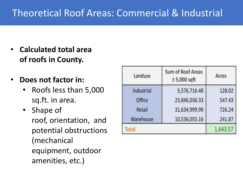# Theoretical Roof Areas: Commercial & Industrial

- **Calculated total area of roofs in County.**
- **Does not factor in:**
	- Roofs less than 5,000 sq.ft. in area.
	- Shape of roof, orientation, and potential obstructions (mechanical equipment, outdoor amenities, etc.)

| Landuse    | <b>Sum of Roof Areas</b><br>$\geq 5,000$ sqft | Acres    |
|------------|-----------------------------------------------|----------|
| Industrial | 5,576,716.48                                  | 128.02   |
| Office     | 23,846,036.33                                 | 547.43   |
| Retail     | 31,634,999.99                                 | 726.24   |
| Warehouse  | 10,536,055.16                                 | 241.87   |
| Total      |                                               | 1,643.57 |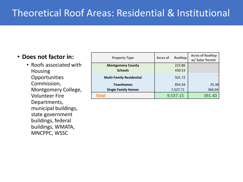#### • **Does not factor in:**

• Roofs associated with Housing **Opportunities** Commission, Montgomery College, Volunteer Fire Departments, municipal buildings, state government buildings, federal buildings, WMATA, MNCPPC, WSSC

| <b>Property Type</b>            | <b>Acres of</b> | Rooftop  | <b>Acres of Rooftop</b><br>w/ Solar Permit |
|---------------------------------|-----------------|----------|--------------------------------------------|
| <b>Montgomery County</b>        |                 | 222.86   |                                            |
| <b>Schools</b>                  |                 | 430.53   |                                            |
| <b>Multi-Family Residential</b> |                 | 501.72   |                                            |
| <b>Townhomes</b>                |                 | 854.34   | 25.36                                      |
| <b>Single Family Homes</b>      |                 | 7,527.71 | 366.04                                     |
| Total                           |                 | 9,537.15 | 391.40                                     |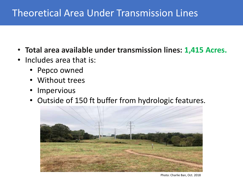## Theoretical Area Under Transmission Lines

- **Total area available under transmission lines: 1,415 Acres.**
- Includes area that is:
	- Pepco owned
	- Without trees
	- Impervious
	- Outside of 150 ft buffer from hydrologic features.



Photo: Charlie Ban, Oct. 2018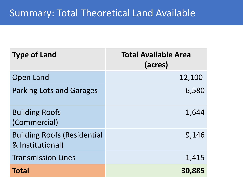| <b>Type of Land</b>                                    | <b>Total Available Area</b><br>(acres) |
|--------------------------------------------------------|----------------------------------------|
| <b>Open Land</b>                                       | 12,100                                 |
| <b>Parking Lots and Garages</b>                        | 6,580                                  |
| <b>Building Roofs</b><br>(Commercial)                  | 1,644                                  |
| <b>Building Roofs (Residential</b><br>& Institutional) | 9,146                                  |
| <b>Transmission Lines</b>                              | 1,415                                  |
| <b>Total</b>                                           | 30,885                                 |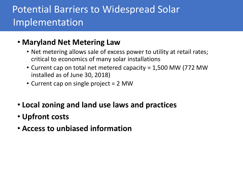# Potential Barriers to Widespread Solar Implementation

### • **Maryland Net Metering Law**

- Net metering allows sale of excess power to utility at retail rates; critical to economics of many solar installations
- Current cap on total net metered capacity = 1,500 MW (772 MW installed as of June 30, 2018)
- Current cap on single project = 2 MW
- **Local zoning and land use laws and practices**
- **Upfront costs**
- **Access to unbiased information**